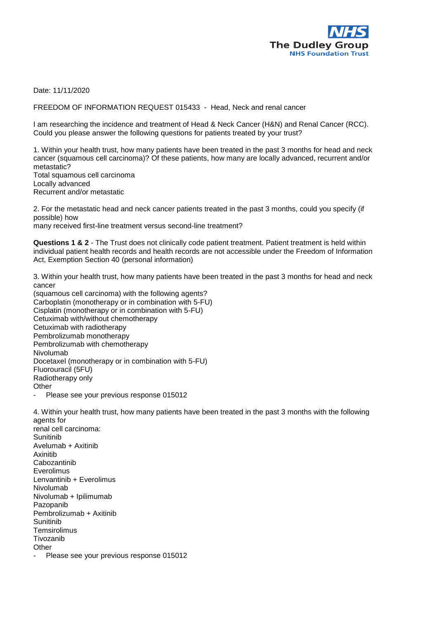

Date: 11/11/2020

FREEDOM OF INFORMATION REQUEST 015433 - Head, Neck and renal cancer

I am researching the incidence and treatment of Head & Neck Cancer (H&N) and Renal Cancer (RCC). Could you please answer the following questions for patients treated by your trust?

1. Within your health trust, how many patients have been treated in the past 3 months for head and neck cancer (squamous cell carcinoma)? Of these patients, how many are locally advanced, recurrent and/or metastatic? Total squamous cell carcinoma

Locally advanced Recurrent and/or metastatic

2. For the metastatic head and neck cancer patients treated in the past 3 months, could you specify (if possible) how

many received first-line treatment versus second-line treatment?

Questions 1 & 2 - The Trust does not clinically code patient treatment. Patient treatment is held within individual patient health records and health records are not accessible under the Freedom of Information Act, Exemption Section 40 (personal information)

3. Within your health trust, how many patients have been treated in the past 3 months for head and neck cancer

(squamous cell carcinoma) with the following agents? Carboplatin (monotherapy or in combination with 5-FU) Cisplatin (monotherapy or in combination with 5-FU) Cetuximab with/without chemotherapy Cetuximab with radiotherapy Pembrolizumab monotherapy Pembrolizumab with chemotherapy Nivolumab Docetaxel (monotherapy or in combination with 5-FU) Fluorouracil (5FU) Radiotherapy only **Other** Please see your previous response 015012

4. Within your health trust, how many patients have been treated in the past 3 months with the following agents for renal cell carcinoma: **Sunitinib** Avelumab + Axitinib Axinitib Cabozantinib Everolimus Lenvantinib + Everolimus Nivolumab Nivolumab + Ipilimumab Pazopanib Pembrolizumab + Axitinib Sunitinib **Temsirolimus** Tivozanib

**Other** 

Please see your previous response 015012